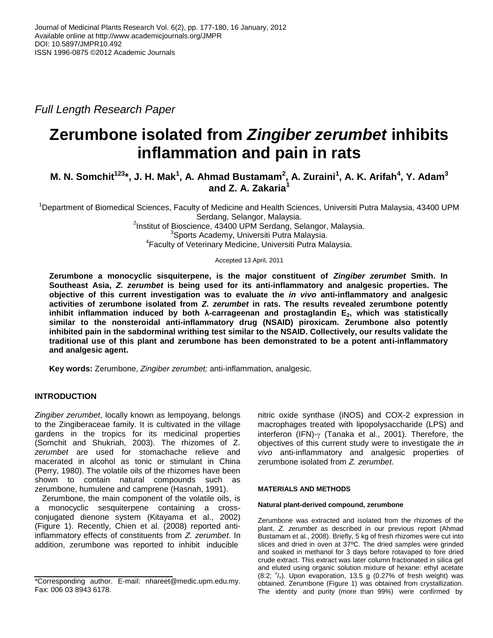*Full Length Research Paper*

# **Zerumbone isolated from** *Zingiber zerumbet* **inhibits inflammation and pain in rats**

## **M. N. Somchit<sup>123</sup>\*, J. H. Mak<sup>1</sup> , A. Ahmad Bustamam<sup>2</sup> , A. Zuraini<sup>1</sup> , A. K. Arifah<sup>4</sup> , Y. Adam<sup>3</sup> and 7. A. Zakaria**<sup>2</sup>

<sup>1</sup>Department of Biomedical Sciences, Faculty of Medicine and Health Sciences, Universiti Putra Malaysia, 43400 UPM Serdang, Selangor, Malaysia.

<sup>2</sup>Institut of Bioscience, 43400 UPM Serdang, Selangor, Malaysia. <sup>3</sup>Sports Academy, Universiti Putra Malaysia. 4 Faculty of Veterinary Medicine, Universiti Putra Malaysia.

Accepted 13 April, 2011

**Zerumbone a monocyclic sisquiterpene, is the major constituent of** *Zingiber zerumbet* **Smith. In Southeast Asia,** *Z. zerumbet* **is being used for its anti-inflammatory and analgesic properties. The objective of this current investigation was to evaluate the** *in vivo* **anti-inflammatory and analgesic activities of zerumbone isolated from** *Z. zerumbet* **in rats. The results revealed zerumbone potently inhibit inflammation induced by both λ-carrageenan and prostaglandin E2, which was statistically similar to the nonsteroidal anti-inflammatory drug (NSAID) piroxicam. Zerumbone also potently inhibited pain in the sabdorminal writhing test similar to the NSAID. Collectively, our results validate the traditional use of this plant and zerumbone has been demonstrated to be a potent anti-inflammatory and analgesic agent.**

**Key words:** Zerumbone, *Zingiber zerumbet;* anti-inflammation, analgesic.

## **INTRODUCTION**

*Zingiber zerumbet*, locally known as lempoyang, belongs to the Zingiberaceae family. It is cultivated in the village gardens in the tropics for its medicinal properties (Somchit and Shukriah, 2003). The rhizomes of Z. *zerumbet* are used for stomachache relieve and macerated in alcohol as tonic or stimulant in China (Perry, 1980). The volatile oils of the rhizomes have been shown to contain natural compounds such as zerumbone, humulene and camprene (Hasnah, 1991).

Zerumbone, the main component of the volatile oils, is a monocyclic sesquiterpene containing a crossconjugated dienone system (Kitayama et al., 2002) (Figure 1). Recently, Chien et al. (2008) reported antiinflammatory effects of constituents from *Z. zerumbet*. In addition, zerumbone was reported to inhibit inducible

nitric oxide synthase (iNOS) and COX-2 expression in macrophages treated with lipopolysaccharide (LPS) and interferon (IFN)- $\gamma$  (Tanaka et al., 2001). Therefore, the objectives of this current study were to investigate the *in vivo* anti-inflammatory and analgesic properties of zerumbone isolated from *Z. zerumbet*.

#### **MATERIALS AND METHODS**

#### **Natural plant-derived compound, zerumbone**

Zerumbone was extracted and isolated from the rhizomes of the plant, *Z. zerumbet* as described in our previous report (Ahmad Bustamam et al., 2008). Briefly, 5 kg of fresh rhizomes were cut into slices and dried in oven at 37ºC. The dried samples were grinded and soaked in methanol for 3 days before rotavaped to fore dried crude extract. This extract was later column fractionated in silica gel and eluted using organic solution mixture of hexane: ethyl acetate  $(8.2; y')$ . Upon evaporation, 13.5 g  $(0.27%$  of fresh weight) was obtained. Zerumbone (Figure 1) was obtained from crystallization. The identity and purity (more than 99%) were confirmed by

<sup>\*</sup>Corresponding author. E-mail: nhareet@medic.upm.edu.my. Fax: 006 03 8943 6178.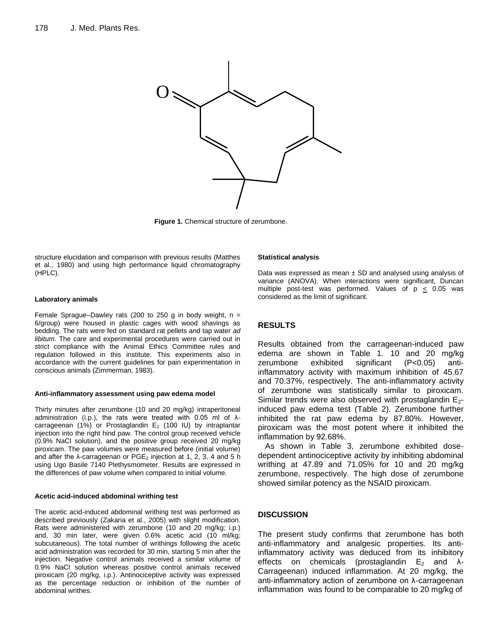

**Figure 1.** Chemical structure of zerumbone.

structure elucidation and comparison with previous results (Matthes et al., 1980) and using high performance liquid chromatography (HPLC).

#### **Laboratory animals**

Female Sprague–Dawley rats (200 to 250 g in body weight,  $n =$ 6/group) were housed in plastic cages with wood shavings as bedding. The rats were fed on standard rat pellets and tap water *ad libitum*. The care and experimental procedures were carried out in strict compliance with the Animal Ethics Committee rules and regulation followed in this institute. This experiments also in accordance with the current guidelines for pain experimentation in conscious animals (Zimmerman, 1983).

#### **Anti-inflammatory assessment using paw edema model**

Thirty minutes after zerumbone (10 and 20 mg/kg) intraperitoneal administration (i.p.), the rats were treated with 0.05 ml of λcarrageenan (1%) or Prostaglandin  $E_2$  (100 IU) by intraplantar injection into the right hind paw. The control group received vehicle (0.9% NaCl solution), and the positive group received 20 mg/kg piroxicam. The paw volumes were measured before (initial volume) and after the  $\lambda$ -carrageenan or PGE<sub>2</sub> injection at 1, 2, 3, 4 and 5 h using Ugo Basile 7140 Plethysmometer. Results are expressed in the differences of paw volume when compared to initial volume.

#### **Acetic acid-induced abdominal writhing test**

The acetic acid-induced abdominal writhing test was performed as described previously (Zakaria et al., 2005) with slight modification. Rats were administered with zerumbone (10 and 20 mg/kg; i.p.) and, 30 min later, were given 0.6% acetic acid (10 ml/kg; subcutaneous). The total number of writhings following the acetic acid administration was recorded for 30 min, starting 5 min after the injection. Negative control animals received a similar volume of 0.9% NaCl solution whereas positive control animals received piroxicam (20 mg/kg, i.p.). Antinociceptive activity was expressed as the percentage reduction or inhibition of the number of abdominal writhes.

#### **Statistical analysis**

Data was expressed as mean  $\pm$  SD and analysed using analysis of variance (ANOVA). When interactions were significant, Duncan multiple post-test was performed. Values of  $p \le 0.05$  was considered as the limit of significant.

## **RESULTS**

Results obtained from the carrageenan-induced paw edema are shown in Table 1. 10 and 20 mg/kg zerumbone exhibited significant (P<0.05) antiinflammatory activity with maximum inhibition of 45.67 and 70.37%, respectively. The anti-inflammatory activity of zerumbone was statistically similar to piroxicam. Similar trends were also observed with prostaglandin E<sub>2</sub>induced paw edema test (Table 2). Zerumbone further inhibited the rat paw edema by 87.80%. However, piroxicam was the most potent where it inhibited the inflammation by 92.68%.

As shown in Table 3, zerumbone exhibited dosedependent antinociceptive activity by inhibiting abdominal writhing at 47.89 and 71.05% for 10 and 20 mg/kg zerumbone, respectively. The high dose of zerumbone showed similar potency as the NSAID piroxicam.

## **DISCUSSION**

The present study confirms that zerumbone has both anti-inflammatory and analgesic properties. Its antiinflammatory activity was deduced from its inhibitory effects on chemicals (prostaglandin  $E_2$  and  $\lambda$ -Carrageenan) induced inflammation. At 20 mg/kg, the anti-inflammatory action of zerumbone on λ-carrageenan inflammation was found to be comparable to 20 mg/kg of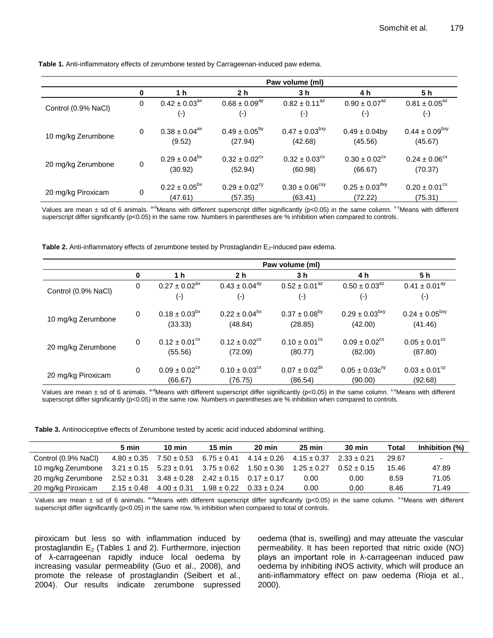|                     | Paw volume (ml) |                                                     |                                          |                                            |                                           |                                            |  |  |
|---------------------|-----------------|-----------------------------------------------------|------------------------------------------|--------------------------------------------|-------------------------------------------|--------------------------------------------|--|--|
|                     | 0               | 1 h                                                 | 2 <sub>h</sub>                           | 3 h                                        | 4 h                                       | 5 h                                        |  |  |
| Control (0.9% NaCl) | 0               | $0.42 \pm 0.03$ <sup>ax</sup><br>$(\textnormal{-})$ | $0.68 \pm 0.09^{ay}$<br>$(\hbox{-})$     | $0.82 \pm 0.11$ <sup>az</sup><br>$(\cdot)$ | $0.90 \pm 0.07^{az}$<br>$(\hbox{-})$      | $0.81 \pm 0.05^{az}$<br>$(\textnormal{-})$ |  |  |
| 10 mg/kg Zerumbone  | 0               | $0.38 \pm 0.04^{ax}$<br>(9.52)                      | $0.49 \pm 0.05^{by}$<br>(27.94)          | $0.47 \pm 0.03^{bxy}$<br>(42.68)           | $0.49 \pm 0.04$ by<br>(45.56)             | $0.44 \pm 0.09^{bxy}$<br>(45.67)           |  |  |
| 20 mg/kg Zerumbone  | 0               | $0.29 \pm 0.04^{bx}$<br>(30.92)                     | $0.32 \pm 0.02$ <sup>cx</sup><br>(52.94) | $0.32 \pm 0.03$ <sup>cx</sup><br>(60.98)   | $0.30 \pm 0.02$ <sup>cx</sup><br>(66.67)  | $0.24 \pm 0.06$ <sup>cx</sup><br>(70.37)   |  |  |
| 20 mg/kg Piroxicam  | 0               | $0.22 \pm 0.05^{bx}$<br>(47.61)                     | $0.29 \pm 0.02$ <sup>cy</sup><br>(57.35) | $0.30 \pm 0.06^{\text{cxy}}$<br>(63.41)    | $0.25 \pm 0.03$ <sup>dxy</sup><br>(72.22) | $0.20 \pm 0.01$ <sup>cx</sup><br>(75.31)   |  |  |

**Table 1.** Anti-inflammatory effects of zerumbone tested by Carrageenan-induced paw edema.

Values are mean  $\pm$  sd of 6 animals. a<sup>d</sup>Means with different superscript differ significantly (p<0.05) in the same column. <sup>x-z</sup>Means with different superscript differ significantly (p<0.05) in the same row. Numbers in parentheses are % inhibition when compared to controls.

**Table 2.** Anti-inflammatory effects of zerumbone tested by Prostaglandin E<sub>2</sub>-induced paw edema.

|                     | Paw volume (ml) |                                          |                                          |                                                                     |                                          |                                          |  |
|---------------------|-----------------|------------------------------------------|------------------------------------------|---------------------------------------------------------------------|------------------------------------------|------------------------------------------|--|
|                     | 0               | 1 h                                      | 2 <sub>h</sub>                           | 3 h                                                                 | 4 h                                      | 5 h                                      |  |
| Control (0.9% NaCl) | 0               | $0.27 \pm 0.02^{ax}$<br>$(-)$            | $0.43 \pm 0.04^{ay}$<br>$(\cdot)$        | $0.52 \pm 0.01^{az}$<br>$(-)$                                       | $0.50 \pm 0.03^{az}$<br>$(\cdot)$        | $0.41 \pm 0.01^{ay}$<br>$(\cdot)$        |  |
| 10 mg/kg Zerumbone  | 0               | $0.18 \pm 0.03^{bx}$<br>(33.33)          | $0.22 \pm 0.04^{bx}$<br>(48.84)          | $0.29 \pm 0.03^{bxy}$<br>$0.37 \pm 0.08^{by}$<br>(28.85)<br>(42.00) |                                          | $0.24 \pm 0.05^{bxy}$<br>(41.46)         |  |
| 20 mg/kg Zerumbone  | 0               | $0.12 \pm 0.01^{\text{cx}}$<br>(55.56)   | $0.12 \pm 0.02$ <sup>cx</sup><br>(72.09) | $0.10 \pm 0.01^{\text{cx}}$<br>(80.77)                              | $0.09 \pm 0.02$ <sup>cx</sup><br>(82.00) | $0.05 \pm 0.01$ <sup>cx</sup><br>(87.80) |  |
| 20 mg/kg Piroxicam  | 0               | $0.09 \pm 0.02$ <sup>cx</sup><br>(66.67) | $0.10 \pm 0.03$ <sup>cx</sup><br>(76.75) | $0.07 \pm 0.02$ <sup>dx</sup><br>(86.54)                            | $0.05 \pm 0.03c^{xy}$<br>(90.00)         | $0.03 \pm 0.01^{\text{cy}}$<br>(92.68)   |  |

Values are mean  $\pm$  sd of 6 animals. <sup>a-d</sup>Means with different superscript differ significantly (p<0.05) in the same column. <sup>x-z</sup>Means with different superscript differ significantly (p<0.05) in the same row. Numbers in parentheses are % inhibition when compared to controls.

**Table 3.** Antinociceptive effects of Zerumbone tested by acetic acid induced abdominal writhing.

|                                                                                    | 5 min                                                           | $10 \text{ min}$ | $15 \text{ min}$                                                                | $20 \text{ min}$ | $25 \text{ min}$ | <b>30 min</b>   | Total | Inhibition (%) |
|------------------------------------------------------------------------------------|-----------------------------------------------------------------|------------------|---------------------------------------------------------------------------------|------------------|------------------|-----------------|-------|----------------|
| Control (0.9% NaCl)                                                                |                                                                 |                  | $4.80 \pm 0.35$ $7.50 \pm 0.53$ $6.75 \pm 0.41$ $4.14 \pm 0.26$ $4.15 \pm 0.37$ |                  |                  | $2.33 \pm 0.21$ | 29.67 |                |
| 10 mg/kg Zerumbone $3.21 \pm 0.15$ $5.23 \pm 0.91$ $3.75 \pm 0.62$ $1.50 \pm 0.36$ |                                                                 |                  |                                                                                 |                  | $1.25 \pm 0.27$  | $0.52 \pm 0.15$ | 15.46 | 47.89          |
| 20 mg/kg Zerumbone $2.52 \pm 0.31$ $3.48 \pm 0.28$ $2.42 \pm 0.15$ $0.17 \pm 0.17$ |                                                                 |                  |                                                                                 |                  | 0.00             | 0.00            | 8.59  | 71.05          |
| 20 mg/kg Piroxicam                                                                 | $2.15 \pm 0.48$ $4.00 \pm 0.31$ $1.98 \pm 0.22$ $0.33 \pm 0.24$ |                  |                                                                                 |                  | 0.00             | 0.00            | 8.46  | 71.49          |

Values are mean  $\pm$  sd of 6 animals. <sup>a-d</sup>Means with different superscript differ significantly (p<0.05) in the same column. <sup>x-y</sup>Means with different superscript differ significantly (p<0.05) in the same row. % inhibition when compared to total of controls.

piroxicam but less so with inflammation induced by prostaglandin  $E_2$  (Tables 1 and 2). Furthermore, injection of λ-carrageenan rapidly induce local oedema by increasing vasular permeability (Guo et al., 2008), and promote the release of prostaglandin (Seibert et al., 2004). Our results indicate zerumbone supressed

oedema (that is, swelling) and may atteuate the vascular permeability. It has been reported that nitric oxide (NO) plays an important role in λ-carrageenan induced paw oedema by inhibiting iNOS activity, which will produce an anti-inflammatory effect on paw oedema (Rioja et al., 2000).